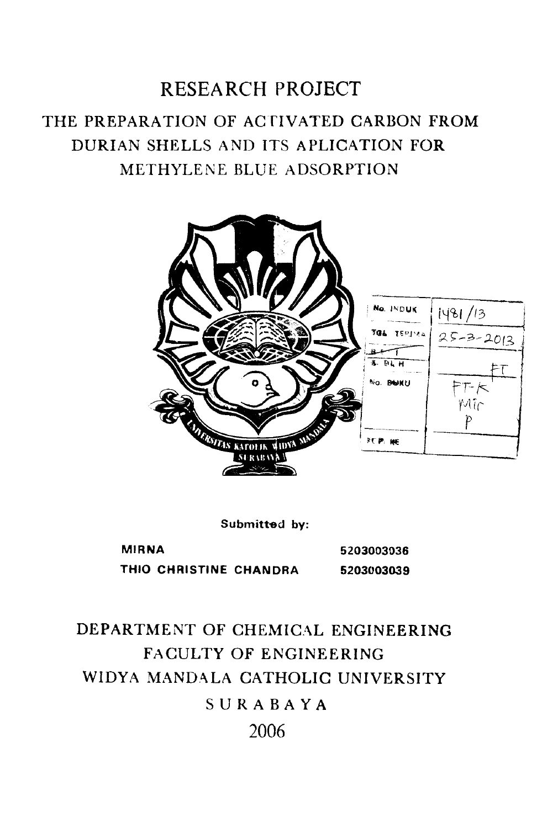# RESEARCH PROJECT THE PREPARATION OF ACTIVATED CARBON FROM DURIAN SHELLS A ND ITS A PLICATION FOR METHYLENE BLUE ADSORPTION



Submitted by:

MIRNA THIO CHRISTINE CHANDRA 5203003036 5203003039

# DEPARTMENT OF CHEMICAL ENGINEERING FACULTY OF ENGINEERING WIDYA MANDALA CATHOLIC UNIVERSITY SURABAYA 2006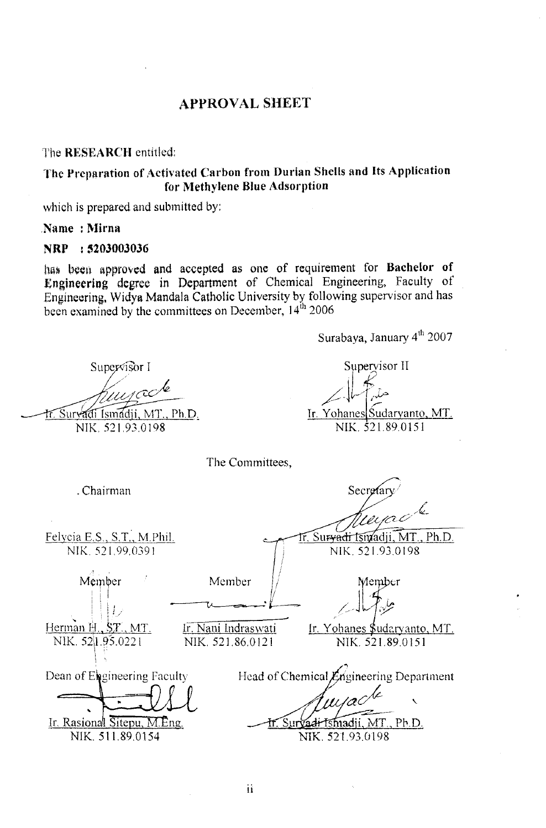## **APPROVAL SHEET**

The RESEARCH entitled:

The Preparation of Activated Carbon from Durian Shells and Its Application for Methylene Blue Adsorption

which is prepared and submitted by:

Name: Mirna

#### NRP : 5203003036

has been approved and accepted as one of requirement for Bachelor of Engineering degree in Department of Chemical Engineering, Faculty of Engineering, Widya Mandala Catholic University by following supervisor and has been examined by the committees on December, 14<sup>th</sup> 2006

Surabaya, January 4<sup>th</sup> 2007

Supervisor II

Ir. Yohanes Sudaryanto, MT. NIK. 521.89.0151

Supervisor I

Survadi Ismadji, MT., Ph.D. NIK 521.93.0198

. Chairman

Felycia E.S., S.T., M.Phil.

NIK. 521.99.0391

D

Dean of Engineering Faculty

Ir. Rasional Sitepu, M.Eng.

NIK. 511.89.0154

Member

Herman H., ST., MT.

NIK. 521.95.0221

Secretar

Ir. Survadi Ismadji, MT., Ph.D. NIK. 521.93.0198

Member

Member

The Committees,

Ir. Nani Indraswati NIK. 521.86.0121

<u>Ir. Yohanes Sudaryanto, MT.</u> NIK. 521.89.0151

Head of Chemical Engineering Department

Survadi Ismadji, MT., Ph.D. NIK. 521.93.0198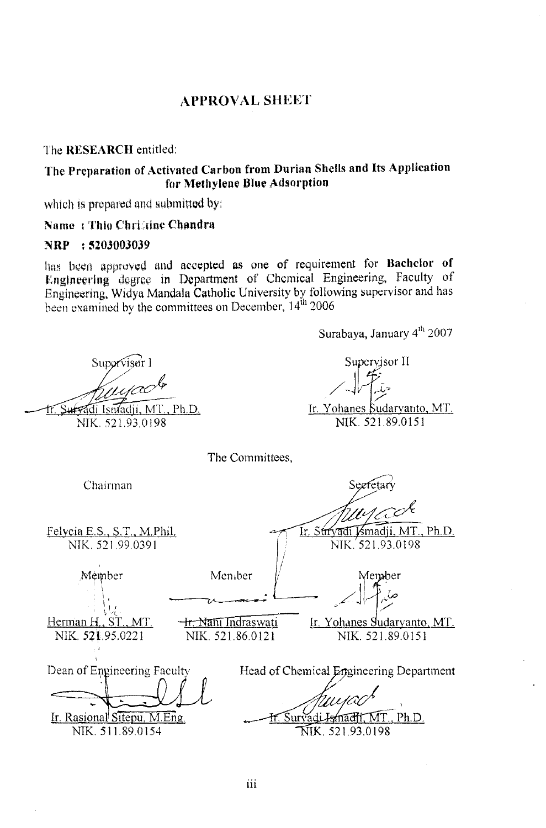#### **APPROVAL SllEET**

The RESEARCH entitled:

## The Preparation of Activated Carbon from Durian Shells and Its Application for Methylene Blue Adsorption

which is prepared and submitted by:

#### Name : Thio Christine Chandra

#### NRP : 5203003039

has been approved and accepted as one of requirement for Bachelor of Englneering degree in Department of Chemical Engineering, Faculty of Engineering, Widya Mandala Catholic University by following supervisor and has been examined by the committees on December,  $14^{th}$  2006.

Surabaya, January  $4^{th}$  2007 Supervisor II Suporvisor 1 Ir. Yohanes Sudaryanto, MT. Survadi Isnadji, MT., Ph.D. NIK. 521.93.0198 NIK. 521.89.0151 The Committees, Chairman Seefetar Felvcia E.S., S.T., M.PhiL Ir. Strvadi Ismadji, MT., Ph.D. NTK.521.99,0391 NIK. 521.93.0198 Member Member 1ember  $\mathbf{L}$ I  $\cdot$  i  $\cdot$  $Herman H, ST, MT.$ Ir. Yohanes Sudaryanto, MT. <del>Ir. Nani Indras</del>wati NIK. *5Zl.95.0221*  NIK. 521.86.0121 NIK. 521.89.0151 Dean of Engineering Faculty Head of Chemical Engineering Department Ir. Rasiona1 Sitepu, M.Eng.  $.$  Ph.D. Ismacht.MT NIK. 511.89.0154 NIK. 521.93.0198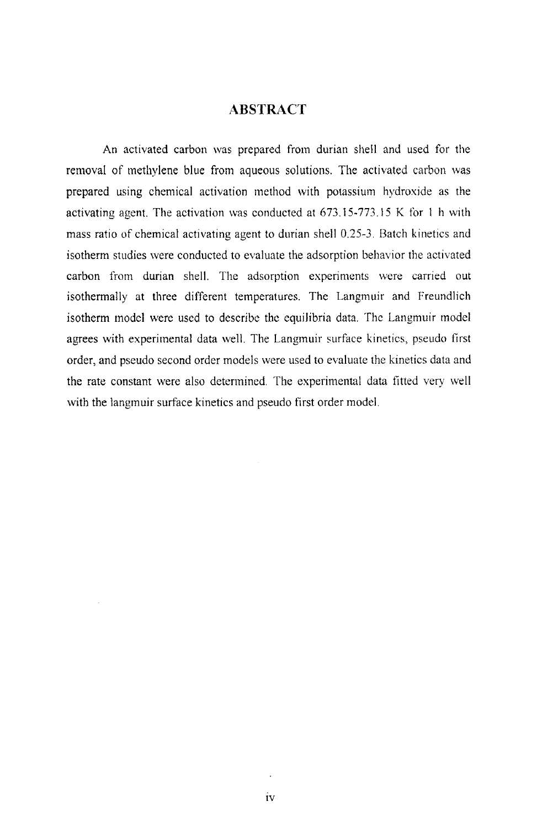#### **ABSTRACT**

An activated carbon was prepared from durian shell and used for the removal of methylene blue from aqueous solutions. The activated carbon was prepared using chemical activation method with potassium hydroxide as the activating agent. The activation was conducted at 673.15-773.15 K for 1 h with mass ratio of chemical activating agent to durian shell 0.25-3. Batch kinetics and isotherm studies were conducted to evaluate the adsorption behavior the activated carbon from durian shell. The adsorption experiments were carried out isothermally at three different temperatures. The Langmuir and Freundlich isotherm model were used to describe the equilibria data. The Langmuir model agrees with experimental data well. The Langmuir surface kinetics, pseudo first order, and pseudo second order models were used to evaluate the kinetics data and the rate constant were also determined. The experimental data fitted very well with the langmuir surface kinetics and pseudo first order model.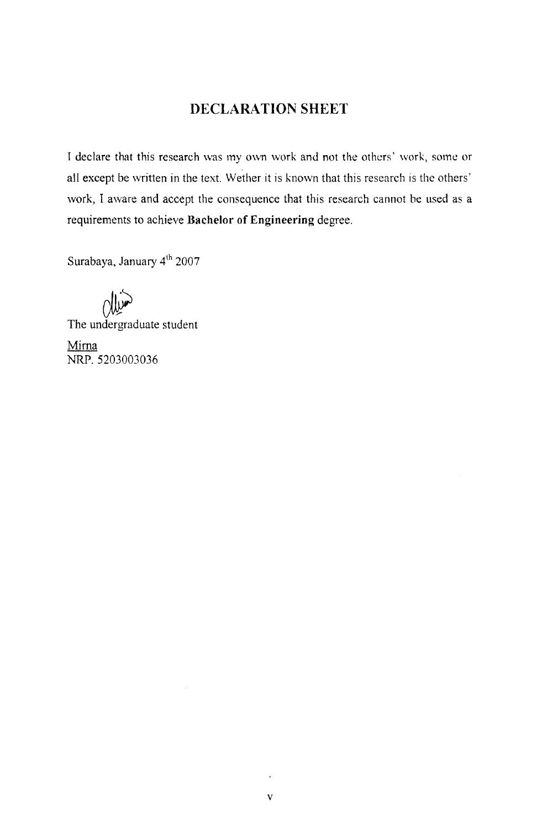## **DECLARA TION SHEET**

r declare that this research was my own work and not the others' work, some or all except be written in the text. Wether it is knovm that this research is the others' work, I aware and accept the consequence that this research cannot be used as a requirements to achieve **Bachelor of Engineering** degree.

Surabaya, January 4<sup>th</sup> 2007

**CW** 

The undergraduate student

Mirna NRP. 5203003036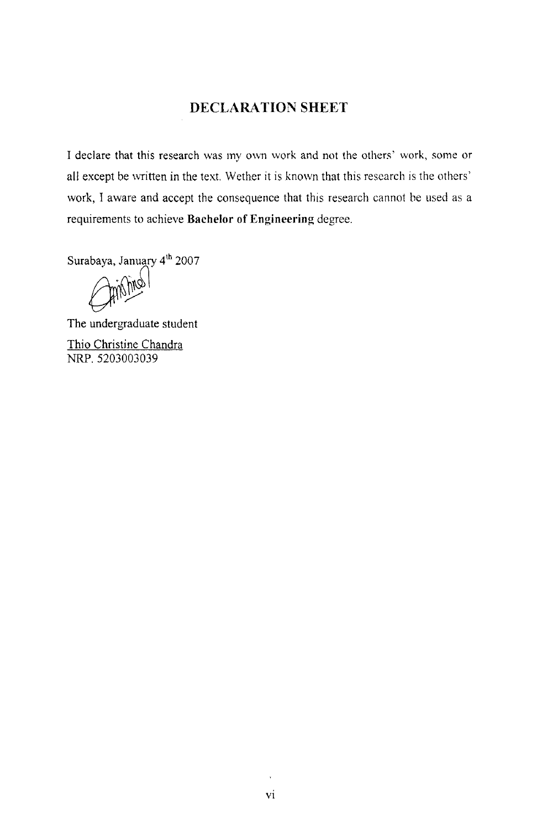### **DECLARA TION SHEET**

I declare that this research was my own work and not the others' work, some or all except be written in the text. Wether it is known that this research is the others' work, I aware and accept the consequence that this research cannot be used as a requirements to achieve **Bachelor of Engineering** degree.

Surabaya, January 4<sup>th</sup> 2007

 $\mathbb{M}$ 

The undergraduate student Thio Christine Chandra NRP. 5203003039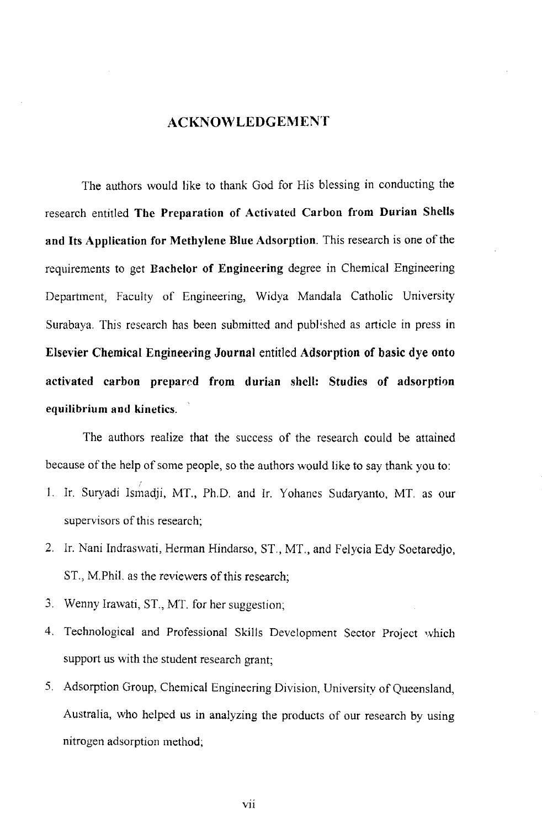#### **ACKNOWLEDGEMENT**

The authors would like to thank God for His blessing in conducting the research entitled **The Preparation of Activated Carbon from Durian Shells and Its Application for Methylene Blue Adsorption.** This research is one of the requirements to get **Bachelor of Engineering** degree in Chemical Engineering Department, Faculty of Engineering, Widya Mandala Catholic University Surabaya. This research has been submitted and publ'shed as article in press in **Elsevier Chemical Engineering Journal** entitled **Adsorption of basic dye onto**  activated carbon prepared from durian shell: Studies of adsorption **equilibrium and kinetics.** 

The authors realize that the success of the research could be attained because of the help of some people, so the authors would like to say thank you to:

- 1. Ir. Suryadi Ismadji, MT., Ph.D. and Ir. Yohanes Sudaryanto, MT. as our supervisors of this research;
- 2. Ir. Nani Indraswati, Hennan Hindarso, ST., MT., and Felycia Edy Soetaredjo, ST., M.Phi!. as the reviewers of this research;
- 3. Wenny lrawati, ST., MT. for her suggestion;
- 4. Technological and Professional Skills Development Sector Project which support us with the student research grant;
- 5. Adsorption Group, Chemical Engineering Division, University of Queensland, Australia, who helped us in analyzing the products of our research by using nitrogen adsorption method;

vii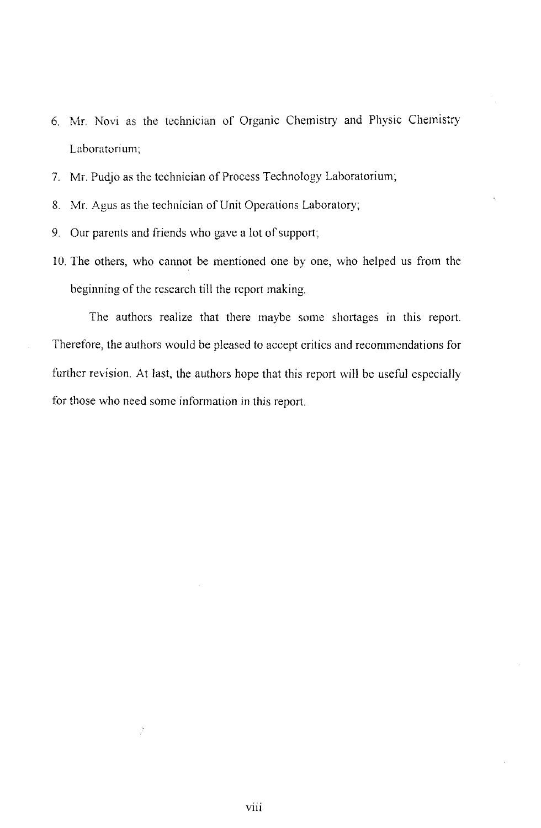- 6. Mr. Novi as the technician of Organic Chemistry and Physic Chemistry Laboratorium;
- 7. Mr. Pudjo as the technician of Process Technology Laboratorium;
- 8. Mr. Agus as the technician of Unit Operations Laboratory;
- 9. Our parents and friends who gave a lot of support;
- 10. The others, who cannot be mentioned one by one, who helped us from the beginning of the research till the report making.

The authors realize that there maybe some shortages in this report. Therefore, the authors would be pleased to accept critics and recommendations for further revision. At last, the authors hope that this report will be useful especially for those who need some information in this report.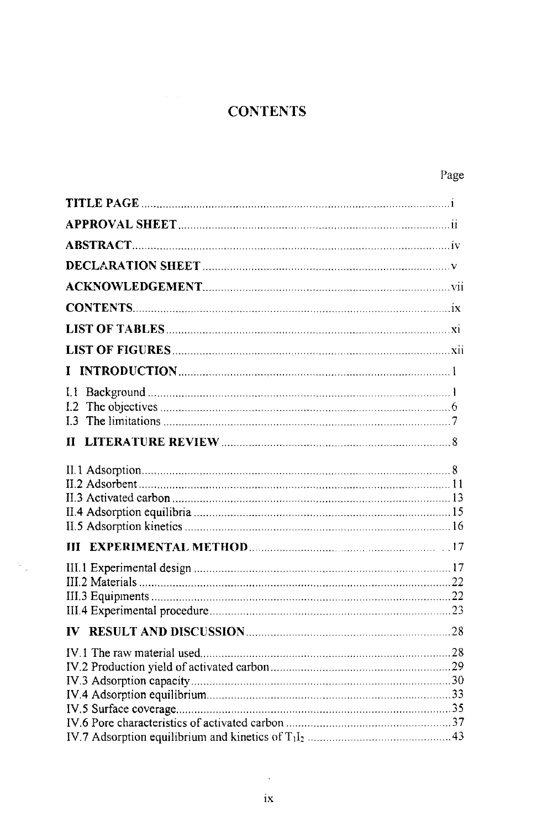# **CONTENTS**

| $\mathbf{I}$               |  |
|----------------------------|--|
| 1.2<br>13 <sup>1</sup>     |  |
| 11                         |  |
|                            |  |
|                            |  |
|                            |  |
|                            |  |
| IV.1 The raw material used |  |

 $\lambda_{\rm{2}}$ 

 $\mathcal{A}^{\mathcal{A}}$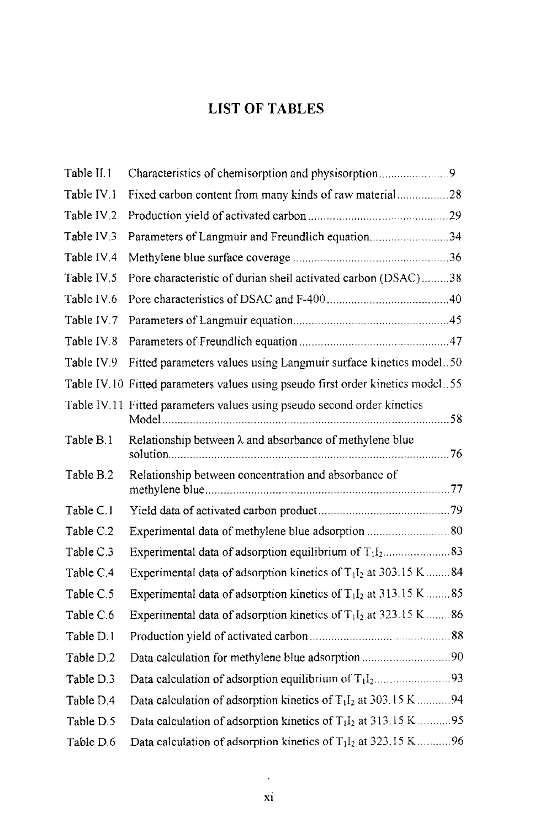# **LIST OF TABLES**

| Table II.1             | Characteristics of chemisorption and physisorption9                                     |  |
|------------------------|-----------------------------------------------------------------------------------------|--|
| Table IV.1             | Fixed carbon content from many kinds of raw material28                                  |  |
| Table IV.2             |                                                                                         |  |
| Table IV.3             | Parameters of Langmuir and Freundlich equation34                                        |  |
| Table IV <sub>4</sub>  |                                                                                         |  |
| Table IV <sub>.5</sub> | Pore characteristic of durian shell activated carbon (DSAC)38                           |  |
| Table IV.6             |                                                                                         |  |
| Table IV.7             |                                                                                         |  |
| Table IV.8             |                                                                                         |  |
| Table IV.9             | Fitted parameters values using Langmuir surface kinetics model50                        |  |
|                        | Table IV.10 Fitted parameters values using pseudo first order kinetics model55          |  |
|                        | Table IV.11 Fitted parameters values using pseudo second order kinetics                 |  |
| Table B.1              | Relationship between $\lambda$ and absorbance of methylene blue                         |  |
| Table B.2              | Relationship between concentration and absorbance of                                    |  |
| Table C.1              |                                                                                         |  |
| Table C.2              |                                                                                         |  |
| Table C.3              |                                                                                         |  |
| Table C.4              | Experimental data of adsorption kinetics of $T_1I_2$ at 303.15 K 84                     |  |
| Table C.5              | Experimental data of adsorption kinetics of $T_1I_2$ at 313.15 K85                      |  |
| Table C.6              | Experimental data of adsorption kinetics of $T_1I_2$ at 323.15 K 86                     |  |
| Table D.I              |                                                                                         |  |
| Table D.2              | Data calculation for methylene blue adsorption90                                        |  |
| Table D.3              |                                                                                         |  |
| Table D.4              | Data calculation of adsorption kinetics of $T_1I_2$ at 303.15 K94                       |  |
| Table D.5              | Data calculation of adsorption kinetics of T <sub>1</sub> I <sub>2</sub> at 313.15 K 95 |  |
| Table D.6              | Data calculation of adsorption kinetics of T <sub>1</sub> I <sub>2</sub> at 323.15 K 96 |  |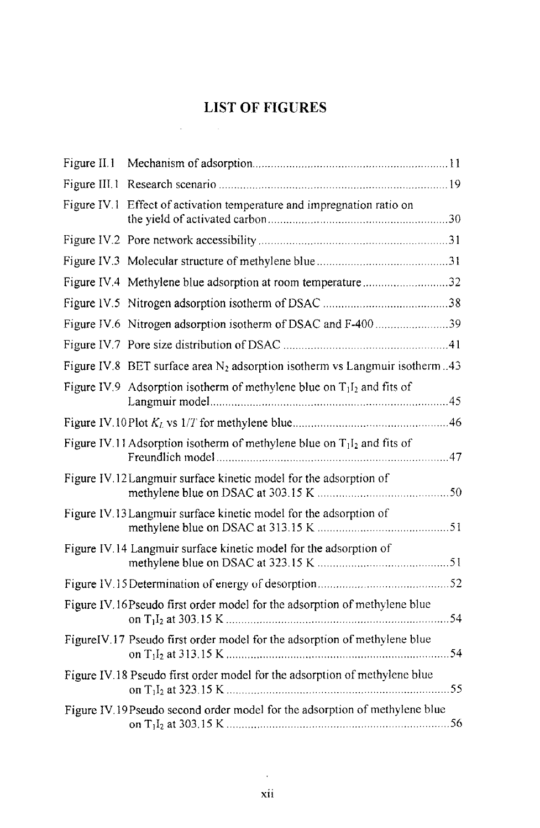# **LIST OF FIGURES**

 $\label{eq:2.1} \frac{1}{2} \int_{\mathbb{R}^3} \left| \frac{d\mathbf{x}}{d\mathbf{x}} \right| \, d\mathbf{x} \, d\mathbf{x} \, d\mathbf{x} \, d\mathbf{x} \, d\mathbf{x} \, d\mathbf{x} \, d\mathbf{x} \, d\mathbf{x} \, d\mathbf{x} \, d\mathbf{x} \, d\mathbf{x} \, d\mathbf{x} \, d\mathbf{x} \, d\mathbf{x} \, d\mathbf{x} \, d\mathbf{x} \, d\mathbf{x} \, d\mathbf{x} \, d\mathbf{x} \, d\mathbf{x} \, d\mathbf{x} \,$ 

| Figure IV.1 Effect of activation temperature and impregnation ratio on        |  |
|-------------------------------------------------------------------------------|--|
|                                                                               |  |
|                                                                               |  |
| Figure IV.4 Methylene blue adsorption at room temperature32                   |  |
|                                                                               |  |
| Figure IV.6 Nitrogen adsorption isotherm of DSAC and F-400 39                 |  |
|                                                                               |  |
| Figure IV.8 BET surface area $N_2$ adsorption isotherm vs Langmuir isotherm43 |  |
| Figure IV.9 Adsorption isotherm of methylene blue on $T_1I_2$ and fits of     |  |
|                                                                               |  |
| Figure IV.11 Adsorption isotherm of methylene blue on $T_1I_2$ and fits of    |  |
| Figure IV.12 Langmuir surface kinetic model for the adsorption of             |  |
| Figure IV.13 Langmuir surface kinetic model for the adsorption of             |  |
| Figure IV.14 Langmuir surface kinetic model for the adsorption of             |  |
|                                                                               |  |
| Figure IV.16 Pseudo first order model for the adsorption of methylene blue    |  |
| FigureIV.17 Pseudo first order model for the adsorption of methylene blue     |  |
| Figure IV.18 Pseudo first order model for the adsorption of methylene blue    |  |
| Figure IV.19 Pseudo second order model for the adsorption of methylene blue   |  |